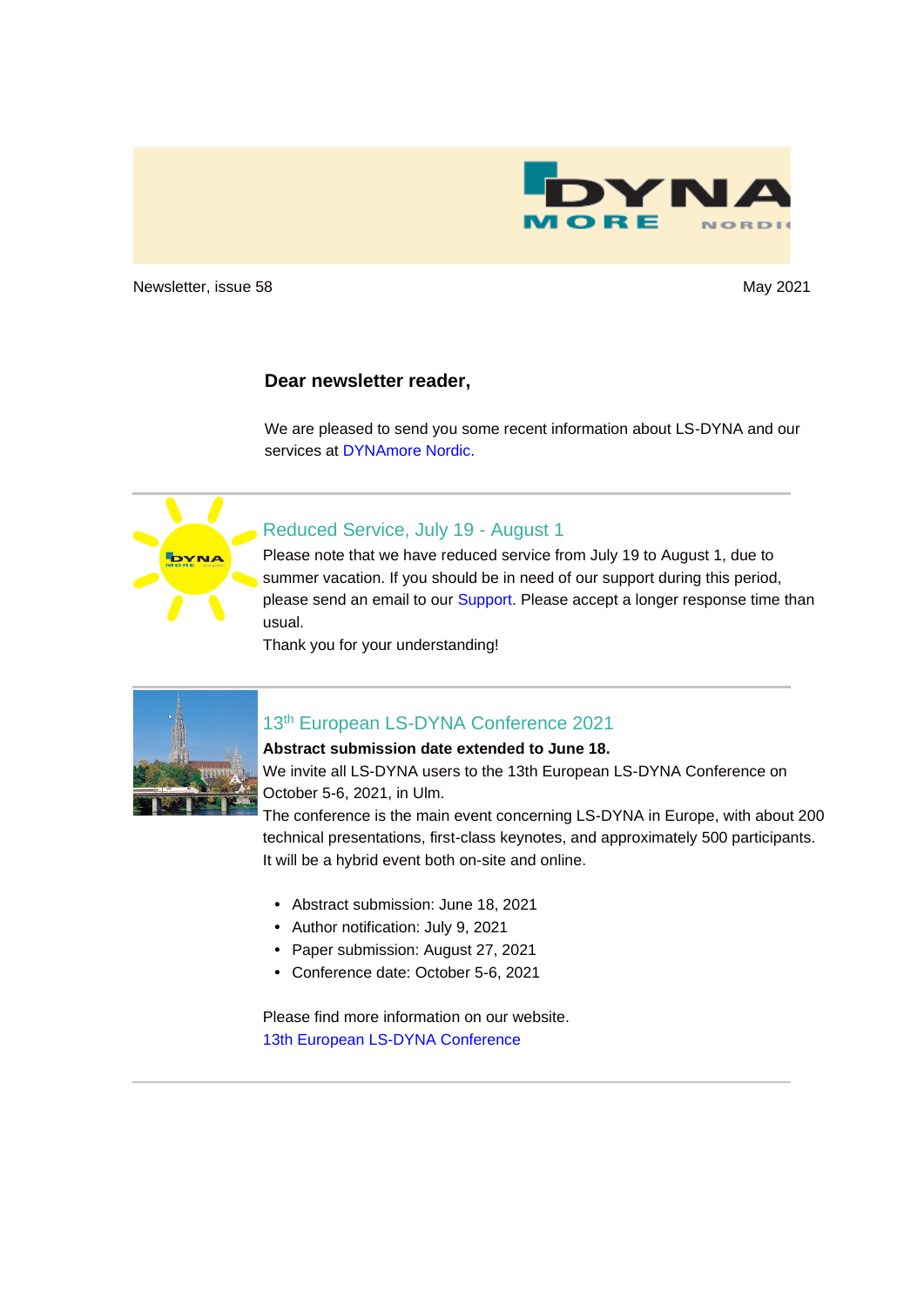

Newsletter, issue 58 May 2021 and the United States of the May 2021 May 2021

#### **Dear newsletter reader,**

We are pleased to send you some recent information about LS-DYNA and our services at [DYNAmore Nordic.](http://www.dynamore.se/)



#### Reduced Service, July 19 - August 1

Please note that we have reduced service from July 19 to August 1, due to summer vacation. If you should be in need of our support during this period, please send an email to our [Support.](mailto:support@dynamore.se) Please accept a longer response time than usual.

Thank you for your understanding!



## 13th European LS-DYNA Conference 2021

#### **Abstract submission date extended to June 18.**

We invite all LS-DYNA users to the 13th European LS-DYNA Conference on October 5-6, 2021, in Ulm.

The conference is the main event concerning LS-DYNA in Europe, with about 200 technical presentations, first-class keynotes, and approximately 500 participants. It will be a hybrid event both on-site and online.

- **•** Abstract submission: June 18, 2021
- **•** Author notification: July 9, 2021
- **•** Paper submission: August 27, 2021
- **•** Conference date: October 5-6, 2021

Please find more information on our website. [13th European LS-DYNA Conference](https://www.dynamore.de/en/training/conferences/upcoming/13th-european-ls-dyna-conference-2021)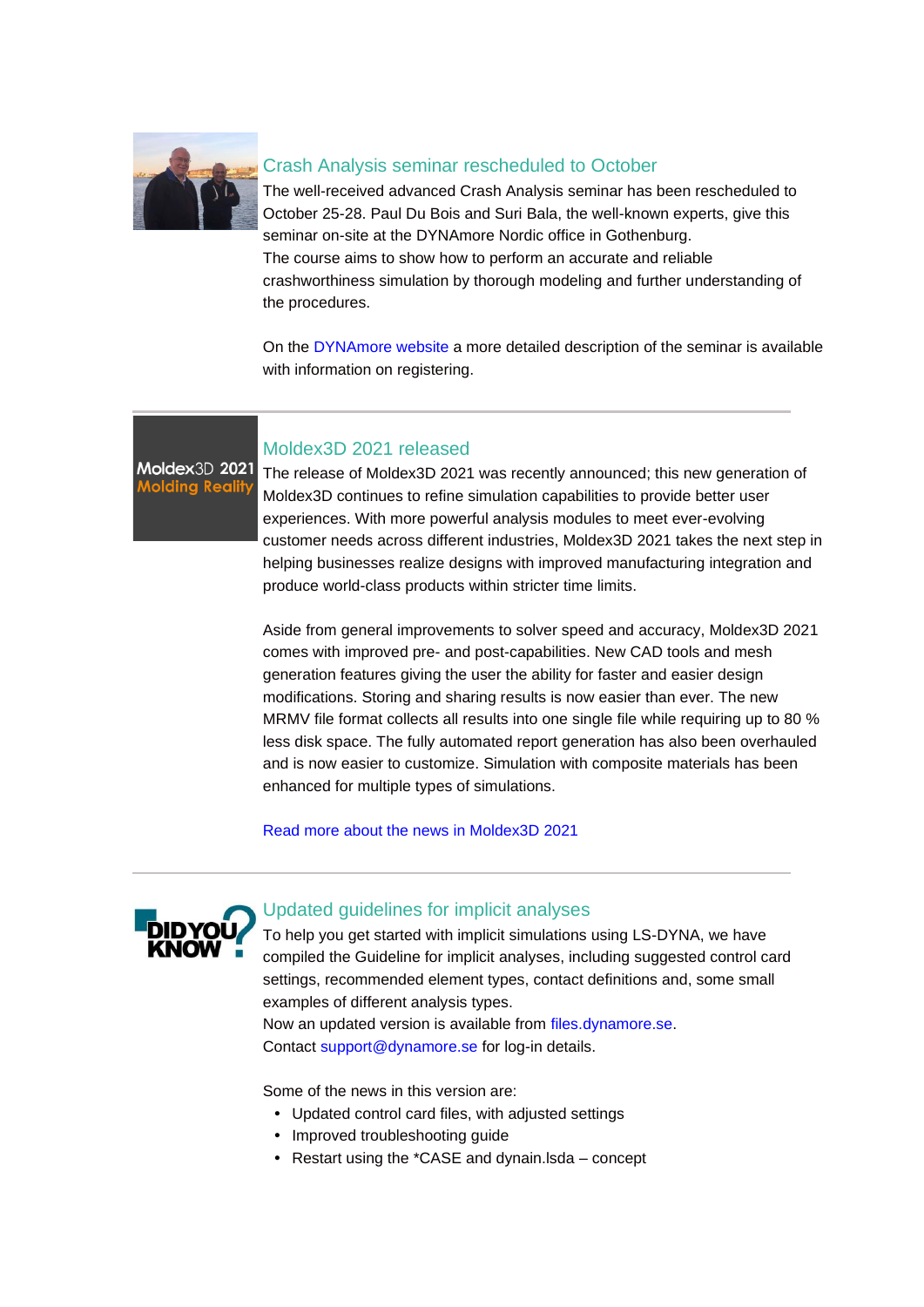

## Crash Analysis seminar rescheduled to October

The well-received advanced Crash Analysis seminar has been rescheduled to October 25-28. Paul Du Bois and Suri Bala, the well-known experts, give this seminar on-site at the DYNAmore Nordic office in Gothenburg. The course aims to show how to perform an accurate and reliable crashworthiness simulation by thorough modeling and further understanding of the procedures.

On the [DYNAmore website](https://www.dynamore.se/en/training/seminars/crash/crash-analysis) a more detailed description of the seminar is available with information on registering.

Moldex3D 2021 **Molding Realit** 

## Moldex3D 2021 released

The release of Moldex3D 2021 was recently announced; this new generation of Moldex3D continues to refine simulation capabilities to provide better user experiences. With more powerful analysis modules to meet ever-evolving customer needs across different industries, Moldex3D 2021 takes the next step in helping businesses realize designs with improved manufacturing integration and produce world-class products within stricter time limits.

Aside from general improvements to solver speed and accuracy, Moldex3D 2021 comes with improved pre- and post-capabilities. New CAD tools and mesh generation features giving the user the ability for faster and easier design modifications. Storing and sharing results is now easier than ever. The new MRMV file format collects all results into one single file while requiring up to 80 % less disk space. The fully automated report generation has also been overhauled and is now easier to customize. Simulation with composite materials has been enhanced for multiple types of simulations.

[Read more about the news in Moldex3D 2021](http://www.moldex3d.com/products/moldex3d-2021/)



## Updated guidelines for implicit analyses

To help you get started with implicit simulations using LS-DYNA, we have compiled the Guideline for implicit analyses, including suggested control card settings, recommended element types, contact definitions and, some small examples of different analysis types.

Now an updated version is available from [files.dynamore.se.](https://files.dynamore.se/index.php/apps/files?dir=/Client%20Area/1_LS-DYNA_Guidelines/2_LS-DYNA_Implicit_Guidelines) Contact [support@dynamore.se](mailto:support@dynamore.se) for log-in details.

Some of the news in this version are:

- **•** Updated control card files, with adjusted settings
- **•** Improved troubleshooting guide
- **•** Restart using the \*CASE and dynain.lsda concept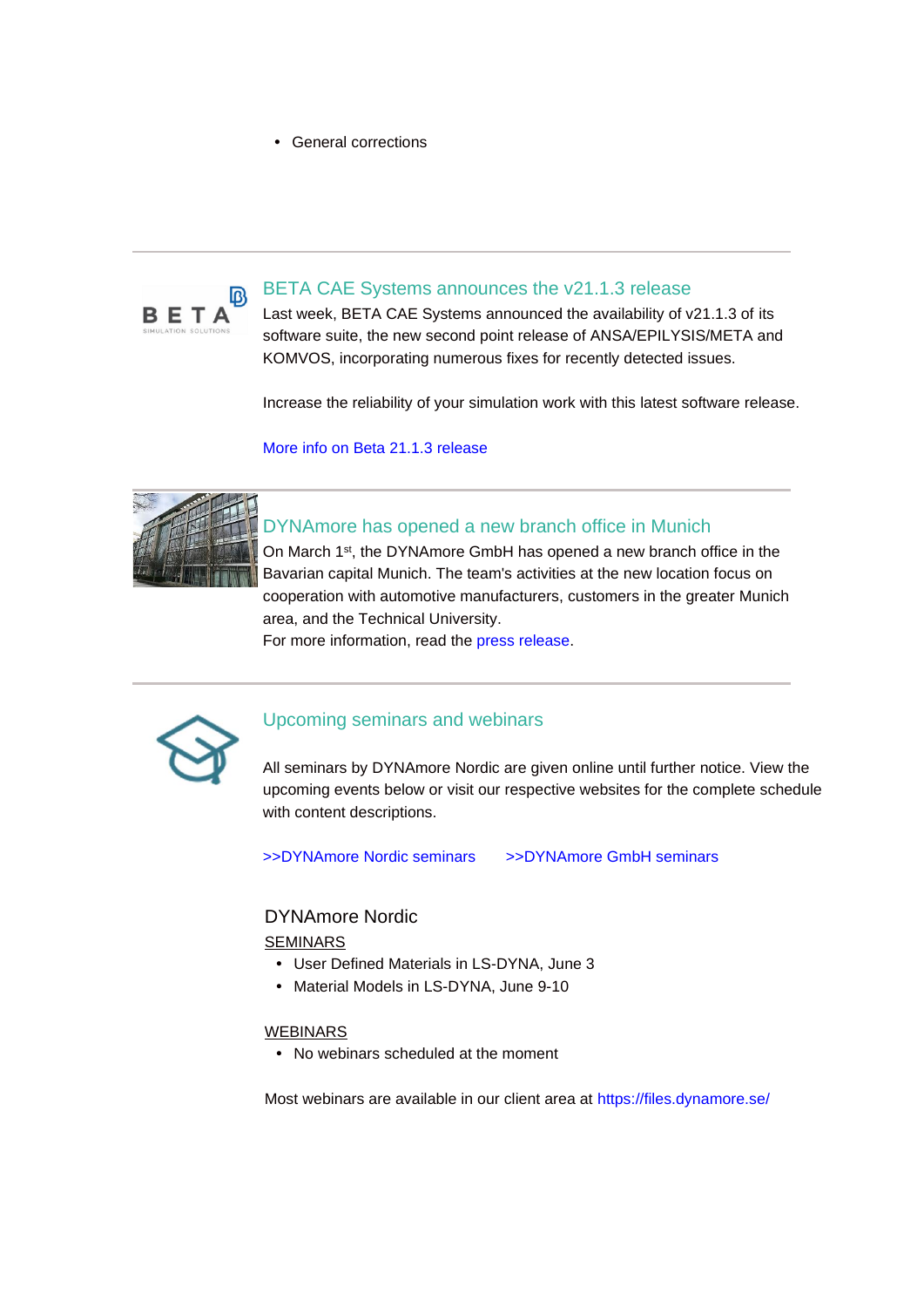**•** General corrections



## BETA CAE Systems announces the v21.1.3 release

Last week, BETA CAE Systems announced the availability of v21.1.3 of its software suite, the new second point release of ANSA/EPILYSIS/META and KOMVOS, incorporating numerous fixes for recently detected issues.

Increase the reliability of your simulation work with this latest software release.

[More info on Beta 21.1.3 release](https://www.beta-cae.com/news/20210528_announcement_suite_21.1.3.htm)



## DYNAmore has opened a new branch office in Munich

On March 1st, the DYNAmore GmbH has opened a new branch office in the Bavarian capital Munich. The team's activities at the new location focus on cooperation with automotive manufacturers, customers in the greater Munich area, and the Technical University.

For more information, read the [press release.](https://www.dynamore.de/en/news/press-releases/2021/dynamore-opens-new-branch-office-in-munich)



#### Upcoming seminars and webinars

All seminars by DYNAmore Nordic are given online until further notice. View the upcoming events below or visit our respective websites for the complete schedule with content descriptions.

[>>DYNAmore Nordic seminars](https://www.dynamore.se/en/training/seminars) [>>DYNAmore GmbH seminars](https://www.dynamore.de/en/training/seminars)

#### DYNAmore Nordic

#### SEMINARS

- **•** User Defined Materials in LS-DYNA, June 3
- **•** Material Models in LS-DYNA, June 9-10

#### WEBINARS

**•** No webinars scheduled at the moment

Most webinars are available in our client area at<https://files.dynamore.se/>